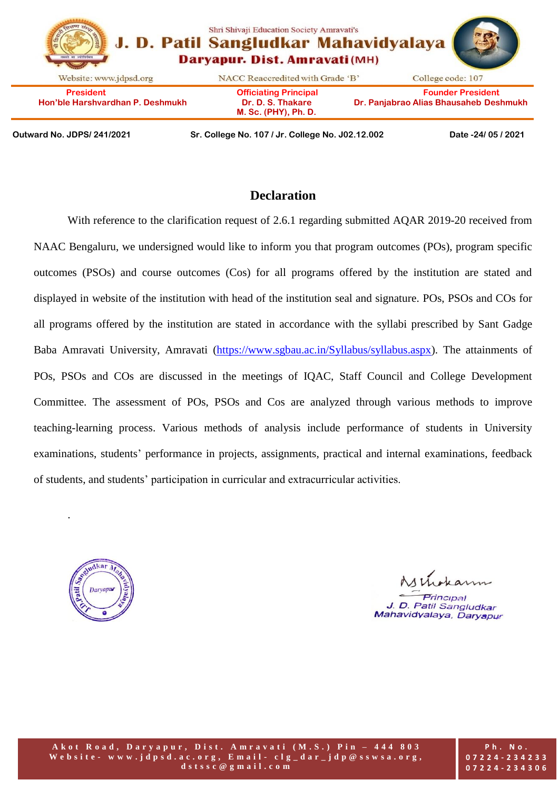|                                                      | Shri Shivaji Education Society Amravati's<br>J. D. Patil Sangludkar Mahavidyalaya<br>Daryapur. Dist. Amravati (MH) |                                                                    |
|------------------------------------------------------|--------------------------------------------------------------------------------------------------------------------|--------------------------------------------------------------------|
| Website: www.jdpsd.org                               | NACC Reaccredited with Grade 'B'                                                                                   | College code: 107                                                  |
| <b>President</b><br>Hon'ble Harshvardhan P. Deshmukh | <b>Officiating Principal</b><br>Dr. D. S. Thakare<br>M. Sc. (PHY), Ph. D.                                          | <b>Founder President</b><br>Dr. Panjabrao Alias Bhausaheb Deshmukh |

**Outward No. JDPS/ 241/2021 Sr. College No. 107 / Jr. College No. J02.12.002 Date -24/ 05 / 2021**

## **Declaration**

With reference to the clarification request of 2.6.1 regarding submitted AOAR 2019-20 received from NAAC Bengaluru, we undersigned would like to inform you that program outcomes (POs), program specific outcomes (PSOs) and course outcomes (Cos) for all programs offered by the institution are stated and displayed in website of the institution with head of the institution seal and signature. POs, PSOs and COs for all programs offered by the institution are stated in accordance with the syllabi prescribed by Sant Gadge Baba Amravati University, Amravati [\(https://www.sgbau.ac.in/Syllabus/syllabus.aspx\)](https://www.sgbau.ac.in/Syllabus/syllabus.aspx). The attainments of POs, PSOs and COs are discussed in the meetings of IQAC, Staff Council and College Development Committee. The assessment of POs, PSOs and Cos are analyzed through various methods to improve teaching-learning process. Various methods of analysis include performance of students in University examinations, students' performance in projects, assignments, practical and internal examinations, feedback of students, and students' participation in curricular and extracurricular activities.



.

Wirkan *Principal* J. D. Patil Sangludkar Mahavidyalaya, Daryapur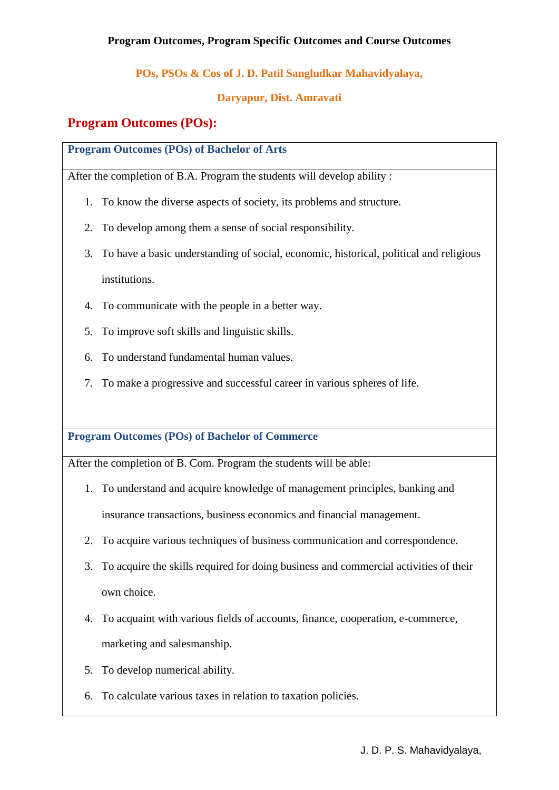## **POs, PSOs & Cos of J. D. Patil Sangludkar Mahavidyalaya,**

#### **Daryapur, Dist. Amravati**

# **Program Outcomes (POs):**

**Program Outcomes (POs) of Bachelor of Arts**

After the completion of B.A. Program the students will develop ability :

- 1. To know the diverse aspects of society, its problems and structure.
- 2. To develop among them a sense of social responsibility.
- 3. To have a basic understanding of social, economic, historical, political and religious institutions.
- 4. To communicate with the people in a better way.
- 5. To improve soft skills and linguistic skills.
- 6. To understand fundamental human values.
- 7. To make a progressive and successful career in various spheres of life.

**Program Outcomes (POs) of Bachelor of Commerce**

After the completion of B. Com. Program the students will be able:

- 1. To understand and acquire knowledge of management principles, banking and insurance transactions, business economics and financial management.
- 2. To acquire various techniques of business communication and correspondence.
- 3. To acquire the skills required for doing business and commercial activities of their own choice.
- 4. To acquaint with various fields of accounts, finance, cooperation, e-commerce, marketing and salesmanship.
- 5. To develop numerical ability.
- 6. To calculate various taxes in relation to taxation policies.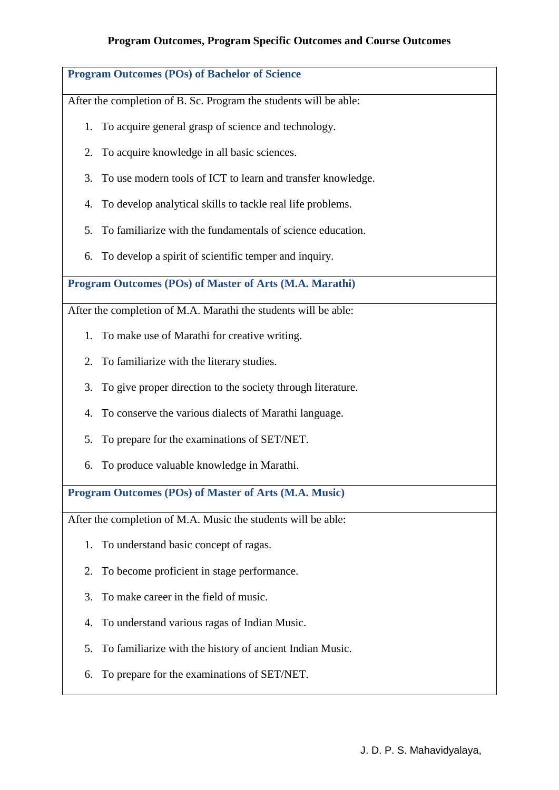# **Program Outcomes (POs) of Bachelor of Science** After the completion of B. Sc. Program the students will be able: 1. To acquire general grasp of science and technology. 2. To acquire knowledge in all basic sciences. 3. To use modern tools of ICT to learn and transfer knowledge. 4. To develop analytical skills to tackle real life problems. 5. To familiarize with the fundamentals of science education. 6. To develop a spirit of scientific temper and inquiry. **Program Outcomes (POs) of Master of Arts (M.A. Marathi)** After the completion of M.A. Marathi the students will be able: 1. To make use of Marathi for creative writing. 2. To familiarize with the literary studies. 3. To give proper direction to the society through literature. 4. To conserve the various dialects of Marathi language.

- 5. To prepare for the examinations of SET/NET.
- 6. To produce valuable knowledge in Marathi.

**Program Outcomes (POs) of Master of Arts (M.A. Music)**

After the completion of M.A. Music the students will be able:

- 1. To understand basic concept of ragas.
- 2. To become proficient in stage performance.
- 3. To make career in the field of music.
- 4. To understand various ragas of Indian Music.
- 5. To familiarize with the history of ancient Indian Music.
- 6. To prepare for the examinations of SET/NET.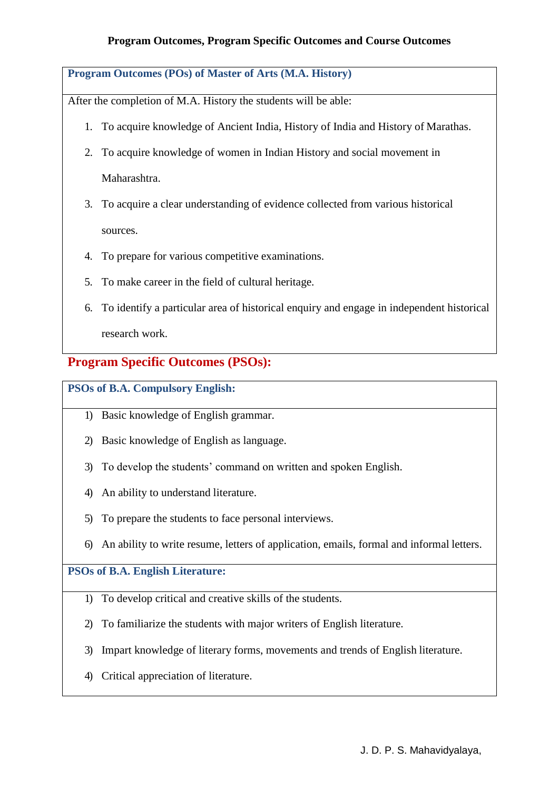**Program Outcomes (POs) of Master of Arts (M.A. History)**

After the completion of M.A. History the students will be able:

- 1. To acquire knowledge of Ancient India, History of India and History of Marathas.
- 2. To acquire knowledge of women in Indian History and social movement in Maharashtra.
- 3. To acquire a clear understanding of evidence collected from various historical sources.
- 4. To prepare for various competitive examinations.
- 5. To make career in the field of cultural heritage.
- 6. To identify a particular area of historical enquiry and engage in independent historical research work.

## **Program Specific Outcomes (PSOs):**

#### **PSOs of B.A. Compulsory English:**

- 1) Basic knowledge of English grammar.
- 2) Basic knowledge of English as language.
- 3) To develop the students' command on written and spoken English.
- 4) An ability to understand literature.
- 5) To prepare the students to face personal interviews.
- 6) An ability to write resume, letters of application, emails, formal and informal letters.

## **PSOs of B.A. English Literature:**

- 1) To develop critical and creative skills of the students.
- 2) To familiarize the students with major writers of English literature.
- 3) Impart knowledge of literary forms, movements and trends of English literature.
- 4) Critical appreciation of literature.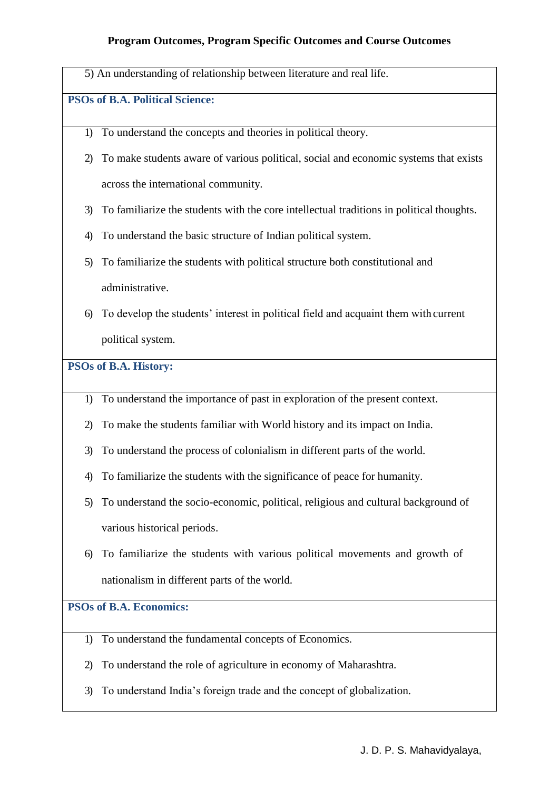5) An understanding of relationship between literature and real life.

## **PSOs of B.A. Political Science:**

- 1) To understand the concepts and theories in political theory.
- 2) To make students aware of various political, social and economic systems that exists across the international community.
- 3) To familiarize the students with the core intellectual traditions in political thoughts.
- 4) To understand the basic structure of Indian political system.
- 5) To familiarize the students with political structure both constitutional and administrative.
- 6) To develop the students' interest in political field and acquaint them with current political system.

#### **PSOs of B.A. History:**

- 1) To understand the importance of past in exploration of the present context.
- 2) To make the students familiar with World history and its impact on India.
- 3) To understand the process of colonialism in different parts of the world.
- 4) To familiarize the students with the significance of peace for humanity.
- 5) To understand the socio-economic, political, religious and cultural background of various historical periods.
- 6) To familiarize the students with various political movements and growth of nationalism in different parts of the world.

#### **PSOs of B.A. Economics:**

- 1) To understand the fundamental concepts of Economics.
- 2) To understand the role of agriculture in economy of Maharashtra.
- 3) To understand India's foreign trade and the concept of globalization.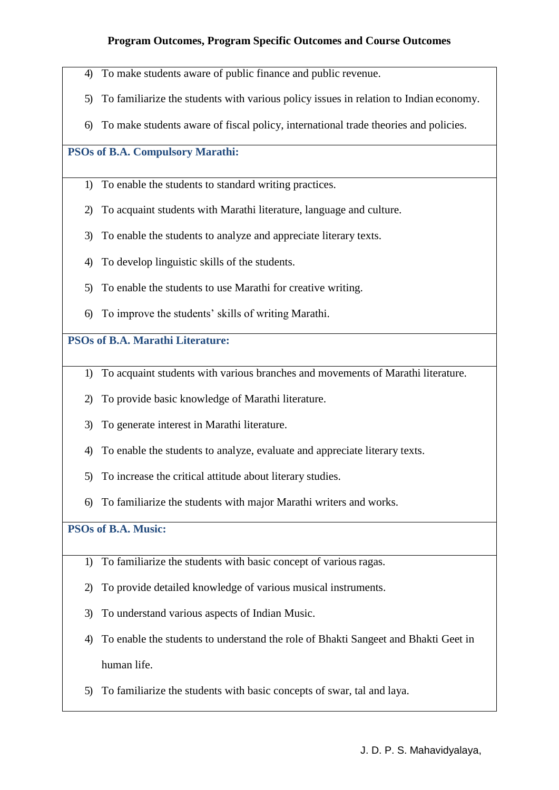- 4) To make students aware of public finance and public revenue.
- 5) To familiarize the students with various policy issues in relation to Indian economy.
- 6) To make students aware of fiscal policy, international trade theories and policies.

#### **PSOs of B.A. Compulsory Marathi:**

- 1) To enable the students to standard writing practices.
- 2) To acquaint students with Marathi literature, language and culture.
- 3) To enable the students to analyze and appreciate literary texts.
- 4) To develop linguistic skills of the students.
- 5) To enable the students to use Marathi for creative writing.
- 6) To improve the students' skills of writing Marathi.

#### **PSOs of B.A. Marathi Literature:**

- 1) To acquaint students with various branches and movements of Marathi literature.
- 2) To provide basic knowledge of Marathi literature.
- 3) To generate interest in Marathi literature.
- 4) To enable the students to analyze, evaluate and appreciate literary texts.
- 5) To increase the critical attitude about literary studies.
- 6) To familiarize the students with major Marathi writers and works.

# **PSOs of B.A. Music:**

- 1) To familiarize the students with basic concept of various ragas.
- 2) To provide detailed knowledge of various musical instruments.
- 3) To understand various aspects of Indian Music.
- 4) To enable the students to understand the role of Bhakti Sangeet and Bhakti Geet in human life.
- 5) To familiarize the students with basic concepts of swar, tal and laya.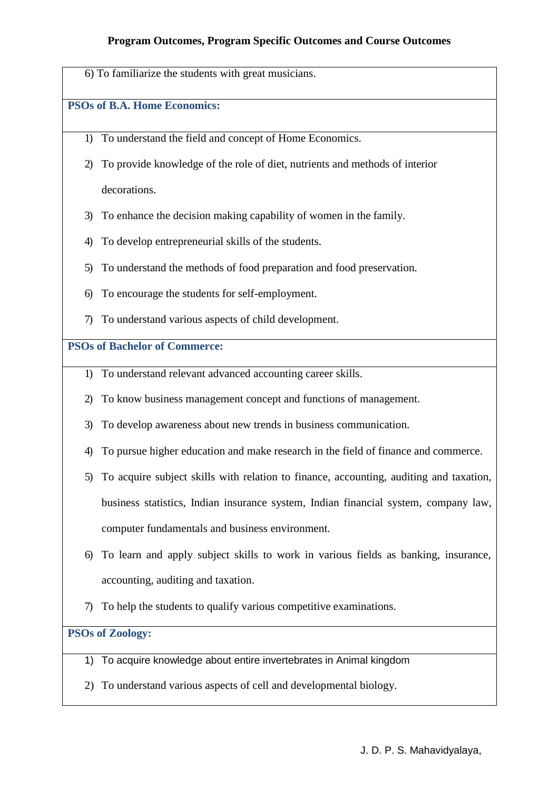6) To familiarize the students with great musicians.

#### **PSOs of B.A. Home Economics:**

- 1) To understand the field and concept of Home Economics.
- 2) To provide knowledge of the role of diet, nutrients and methods of interior decorations.
- 3) To enhance the decision making capability of women in the family.
- 4) To develop entrepreneurial skills of the students.
- 5) To understand the methods of food preparation and food preservation.
- 6) To encourage the students for self-employment.
- 7) To understand various aspects of child development.

## **PSOs of Bachelor of Commerce:**

- 1) To understand relevant advanced accounting career skills.
- 2) To know business management concept and functions of management.
- 3) To develop awareness about new trends in business communication.
- 4) To pursue higher education and make research in the field of finance and commerce.
- 5) To acquire subject skills with relation to finance, accounting, auditing and taxation, business statistics, Indian insurance system, Indian financial system, company law, computer fundamentals and business environment.
- 6) To learn and apply subject skills to work in various fields as banking, insurance, accounting, auditing and taxation.
- 7) To help the students to qualify various competitive examinations.

# **PSOs of Zoology:**

- 1) To acquire knowledge about entire invertebrates in Animal kingdom
- 2) To understand various aspects of cell and developmental biology.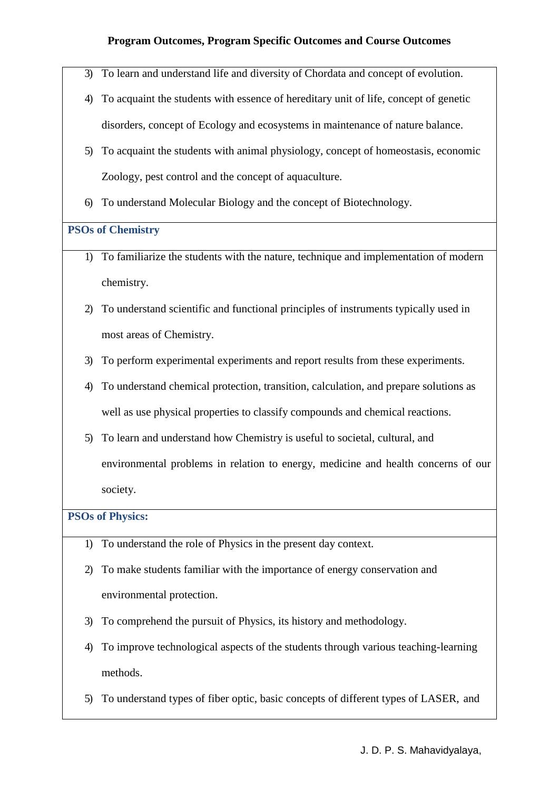- 3) To learn and understand life and diversity of Chordata and concept of evolution.
- 4) To acquaint the students with essence of hereditary unit of life, concept of genetic disorders, concept of Ecology and ecosystems in maintenance of nature balance.
- 5) To acquaint the students with animal physiology, concept of homeostasis, economic Zoology, pest control and the concept of aquaculture.
- 6) To understand Molecular Biology and the concept of Biotechnology.

#### **PSOs of Chemistry**

- 1) To familiarize the students with the nature, technique and implementation of modern chemistry.
- 2) To understand scientific and functional principles of instruments typically used in most areas of Chemistry.
- 3) To perform experimental experiments and report results from these experiments.
- 4) To understand chemical protection, transition, calculation, and prepare solutions as well as use physical properties to classify compounds and chemical reactions.
- 5) To learn and understand how Chemistry is useful to societal, cultural, and environmental problems in relation to energy, medicine and health concerns of our society.

#### **PSOs of Physics:**

- 1) To understand the role of Physics in the present day context.
- 2) To make students familiar with the importance of energy conservation and environmental protection.
- 3) To comprehend the pursuit of Physics, its history and methodology.
- 4) To improve technological aspects of the students through various teaching-learning methods.
- 5) To understand types of fiber optic, basic concepts of different types of LASER, and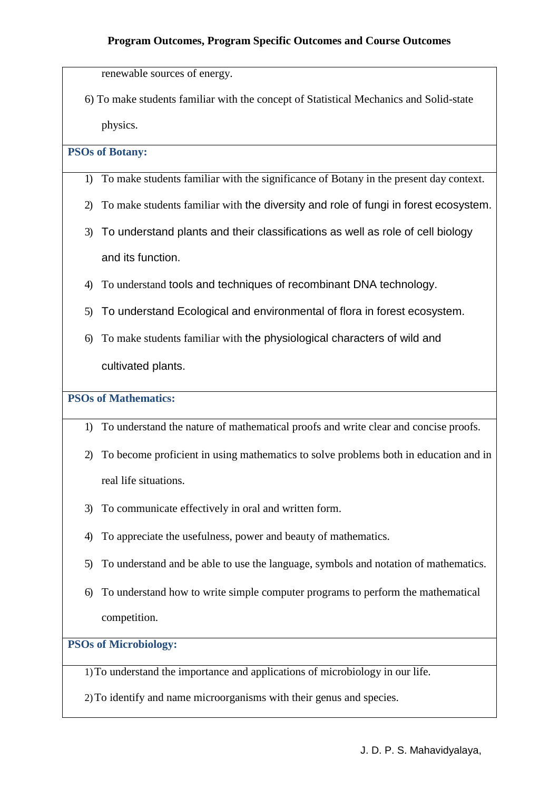renewable sources of energy.

6) To make students familiar with the concept of Statistical Mechanics and Solid-state physics.

## **PSOs of Botany:**

- 1) To make students familiar with the significance of Botany in the present day context.
- 2) To make students familiar with the diversity and role of fungi in forest ecosystem.
- 3) To understand plants and their classifications as well as role of cell biology and its function.
- 4) To understand tools and techniques of recombinant DNA technology.
- 5) To understand Ecological and environmental of flora in forest ecosystem.
- 6) To make students familiar with the physiological characters of wild and cultivated plants.

**PSOs of Mathematics:**

- 1) To understand the nature of mathematical proofs and write clear and concise proofs.
- 2) To become proficient in using mathematics to solve problems both in education and in real life situations.
- 3) To communicate effectively in oral and written form.
- 4) To appreciate the usefulness, power and beauty of mathematics.
- 5) To understand and be able to use the language, symbols and notation of mathematics.
- 6) To understand how to write simple computer programs to perform the mathematical competition.

**PSOs of Microbiology:**

1)To understand the importance and applications of microbiology in our life.

2)To identify and name microorganisms with their genus and species.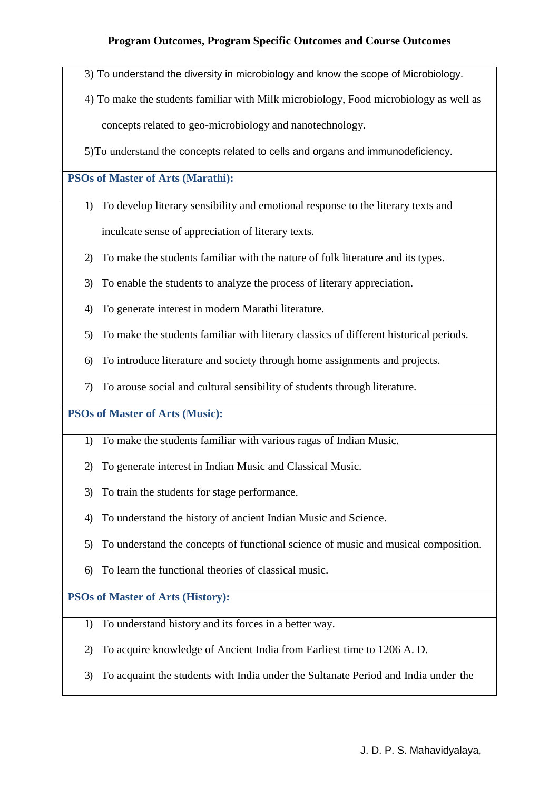3) To understand the diversity in microbiology and know the scope of Microbiology.

4) To make the students familiar with Milk microbiology, Food microbiology as well as concepts related to geo-microbiology and nanotechnology.

5)To understand the concepts related to cells and organs and immunodeficiency.

#### **PSOs of Master of Arts (Marathi):**

- 1) To develop literary sensibility and emotional response to the literary texts and inculcate sense of appreciation of literary texts.
- 2) To make the students familiar with the nature of folk literature and its types.
- 3) To enable the students to analyze the process of literary appreciation.
- 4) To generate interest in modern Marathi literature.
- 5) To make the students familiar with literary classics of different historical periods.
- 6) To introduce literature and society through home assignments and projects.
- 7) To arouse social and cultural sensibility of students through literature.

**PSOs of Master of Arts (Music):**

- 1) To make the students familiar with various ragas of Indian Music.
- 2) To generate interest in Indian Music and Classical Music.
- 3) To train the students for stage performance.
- 4) To understand the history of ancient Indian Music and Science.
- 5) To understand the concepts of functional science of music and musical composition.
- 6) To learn the functional theories of classical music.

#### **PSOs of Master of Arts (History):**

- 1) To understand history and its forces in a better way.
- 2) To acquire knowledge of Ancient India from Earliest time to 1206 A. D.
- 3) To acquaint the students with India under the Sultanate Period and India under the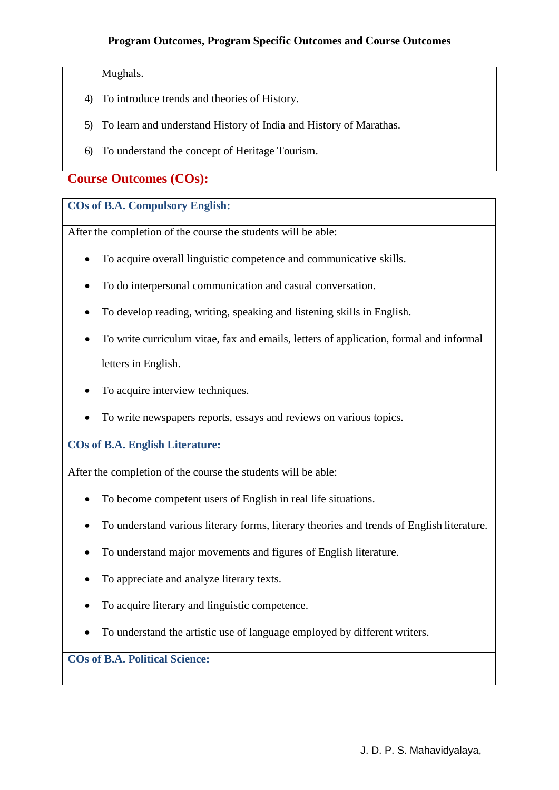Mughals.

- 4) To introduce trends and theories of History.
- 5) To learn and understand History of India and History of Marathas.
- 6) To understand the concept of Heritage Tourism.

## **Course Outcomes (COs):**

#### **COs of B.A. Compulsory English:**

After the completion of the course the students will be able:

- To acquire overall linguistic competence and communicative skills.
- To do interpersonal communication and casual conversation.
- To develop reading, writing, speaking and listening skills in English.
- To write curriculum vitae, fax and emails, letters of application, formal and informal letters in English.
- To acquire interview techniques.
- To write newspapers reports, essays and reviews on various topics.

**COs of B.A. English Literature:**

After the completion of the course the students will be able:

- To become competent users of English in real life situations.
- To understand various literary forms, literary theories and trends of English literature.
- To understand major movements and figures of English literature.
- To appreciate and analyze literary texts.
- To acquire literary and linguistic competence.
- To understand the artistic use of language employed by different writers.

## **COs of B.A. Political Science:**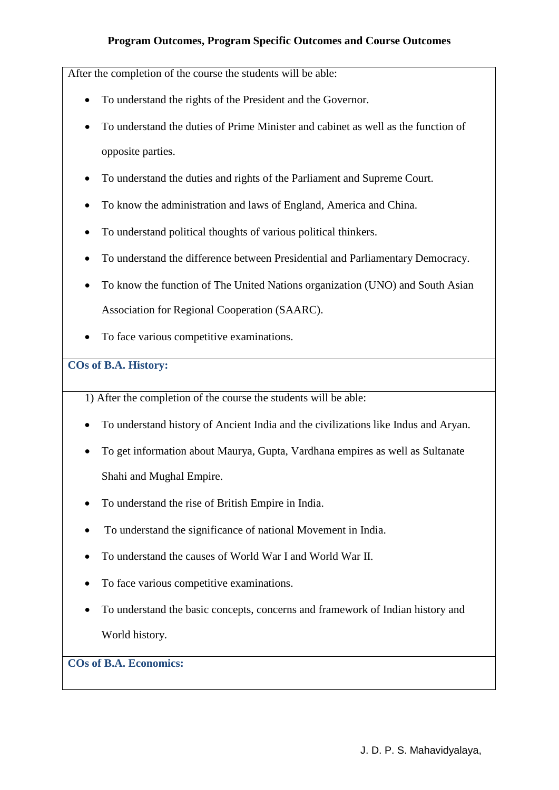After the completion of the course the students will be able:

- To understand the rights of the President and the Governor.
- To understand the duties of Prime Minister and cabinet as well as the function of opposite parties.
- To understand the duties and rights of the Parliament and Supreme Court.
- To know the administration and laws of England, America and China.
- To understand political thoughts of various political thinkers.
- To understand the difference between Presidential and Parliamentary Democracy.
- To know the function of The United Nations organization (UNO) and South Asian Association for Regional Cooperation (SAARC).
- To face various competitive examinations.

#### **COs of B.A. History:**

1) After the completion of the course the students will be able:

- To understand history of Ancient India and the civilizations like Indus and Aryan.
- To get information about Maurya, Gupta, Vardhana empires as well as Sultanate Shahi and Mughal Empire.
- To understand the rise of British Empire in India.
- To understand the significance of national Movement in India.
- To understand the causes of World War I and World War II.
- To face various competitive examinations.
- To understand the basic concepts, concerns and framework of Indian history and World history.

# **COs of B.A. Economics:**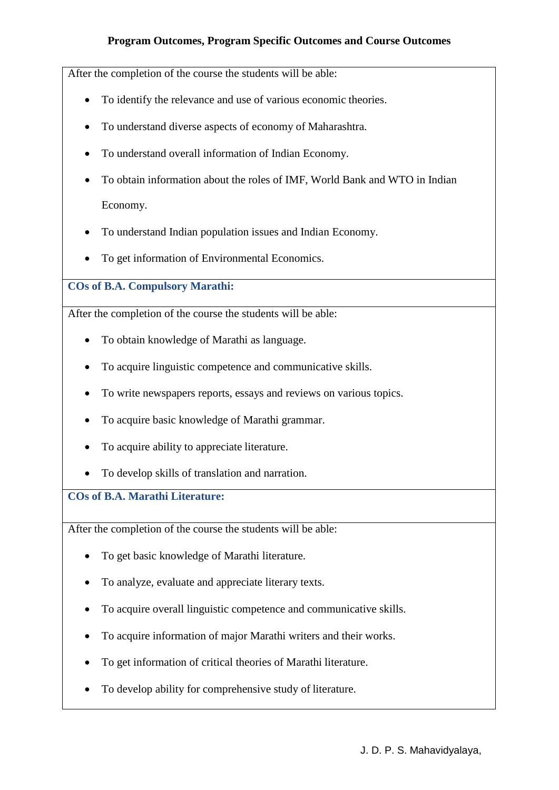After the completion of the course the students will be able:

- To identify the relevance and use of various economic theories.
- To understand diverse aspects of economy of Maharashtra.
- To understand overall information of Indian Economy.
- To obtain information about the roles of IMF, World Bank and WTO in Indian Economy.
- To understand Indian population issues and Indian Economy.
- To get information of Environmental Economics.

**COs of B.A. Compulsory Marathi:**

After the completion of the course the students will be able:

- To obtain knowledge of Marathi as language.
- To acquire linguistic competence and communicative skills.
- To write newspapers reports, essays and reviews on various topics.
- To acquire basic knowledge of Marathi grammar.
- To acquire ability to appreciate literature.
- To develop skills of translation and narration.

**COs of B.A. Marathi Literature:**

- To get basic knowledge of Marathi literature.
- To analyze, evaluate and appreciate literary texts.
- To acquire overall linguistic competence and communicative skills.
- To acquire information of major Marathi writers and their works.
- To get information of critical theories of Marathi literature.
- To develop ability for comprehensive study of literature.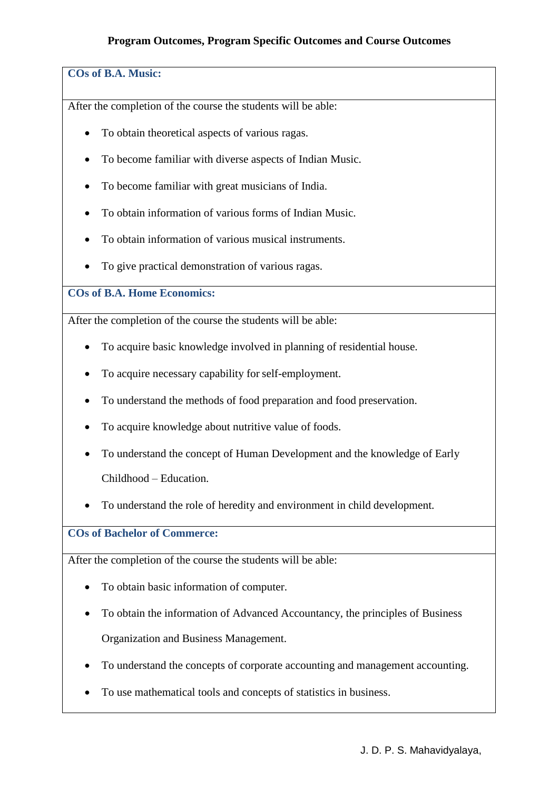## **COs of B.A. Music:**

After the completion of the course the students will be able:

- To obtain theoretical aspects of various ragas.
- To become familiar with diverse aspects of Indian Music.
- To become familiar with great musicians of India.
- To obtain information of various forms of Indian Music.
- To obtain information of various musical instruments.
- To give practical demonstration of various ragas.

**COs of B.A. Home Economics:**

After the completion of the course the students will be able:

- To acquire basic knowledge involved in planning of residential house.
- To acquire necessary capability forself-employment.
- To understand the methods of food preparation and food preservation.
- To acquire knowledge about nutritive value of foods.
- To understand the concept of Human Development and the knowledge of Early Childhood – Education.
- To understand the role of heredity and environment in child development.

**COs of Bachelor of Commerce:**

- To obtain basic information of computer.
- To obtain the information of Advanced Accountancy, the principles of Business Organization and Business Management.
- To understand the concepts of corporate accounting and management accounting.
- To use mathematical tools and concepts of statistics in business.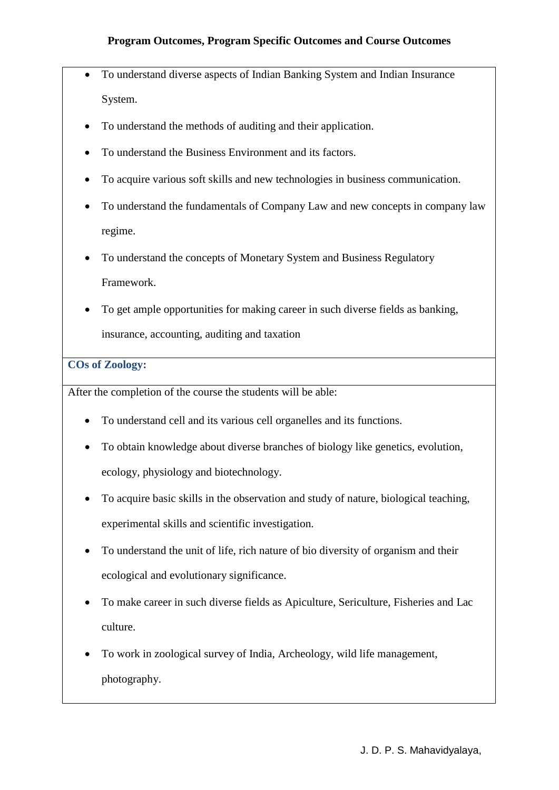- To understand diverse aspects of Indian Banking System and Indian Insurance System.
- To understand the methods of auditing and their application.
- To understand the Business Environment and its factors.
- To acquire various soft skills and new technologies in business communication.
- To understand the fundamentals of Company Law and new concepts in company law regime.
- To understand the concepts of Monetary System and Business Regulatory Framework.
- To get ample opportunities for making career in such diverse fields as banking, insurance, accounting, auditing and taxation

## **COs of Zoology:**

- To understand cell and its various cell organelles and its functions.
- To obtain knowledge about diverse branches of biology like genetics, evolution, ecology, physiology and biotechnology.
- To acquire basic skills in the observation and study of nature, biological teaching, experimental skills and scientific investigation.
- To understand the unit of life, rich nature of bio diversity of organism and their ecological and evolutionary significance.
- To make career in such diverse fields as Apiculture, Sericulture, Fisheries and Lac culture.
- To work in zoological survey of India, Archeology, wild life management, photography.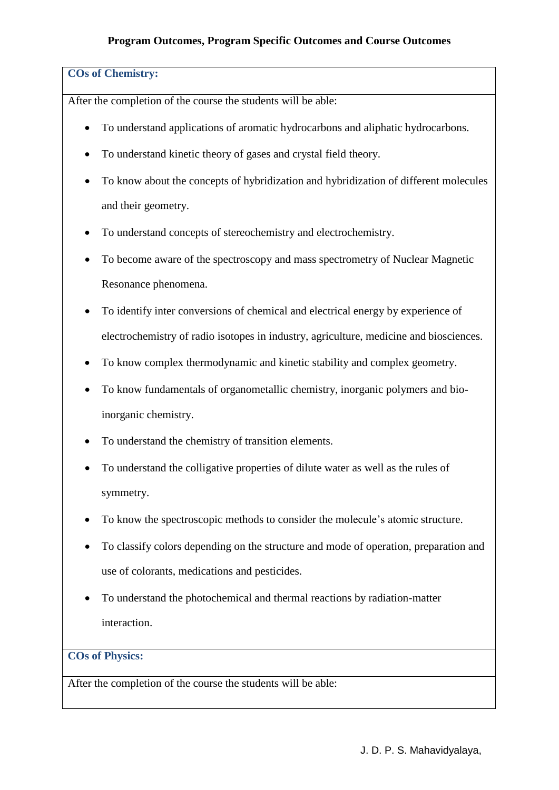#### **COs of Chemistry:**

After the completion of the course the students will be able:

- To understand applications of aromatic hydrocarbons and aliphatic hydrocarbons.
- To understand kinetic theory of gases and crystal field theory.
- To know about the concepts of hybridization and hybridization of different molecules and their geometry.
- To understand concepts of stereochemistry and electrochemistry.
- To become aware of the spectroscopy and mass spectrometry of Nuclear Magnetic Resonance phenomena.
- To identify inter conversions of chemical and electrical energy by experience of electrochemistry of radio isotopes in industry, agriculture, medicine and biosciences.
- To know complex thermodynamic and kinetic stability and complex geometry.
- To know fundamentals of organometallic chemistry, inorganic polymers and bioinorganic chemistry.
- To understand the chemistry of transition elements.
- To understand the colligative properties of dilute water as well as the rules of symmetry.
- To know the spectroscopic methods to consider the molecule's atomic structure.
- To classify colors depending on the structure and mode of operation, preparation and use of colorants, medications and pesticides.
- To understand the photochemical and thermal reactions by radiation-matter interaction.

## **COs of Physics:**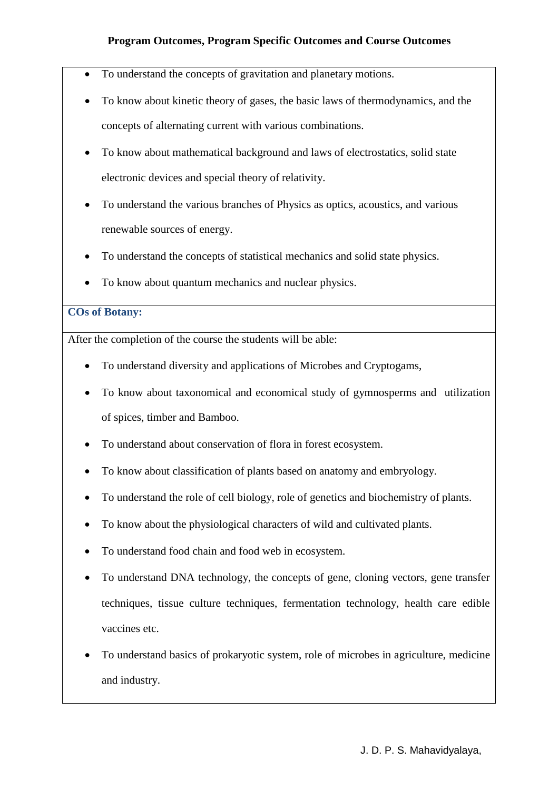- To understand the concepts of gravitation and planetary motions.
- To know about kinetic theory of gases, the basic laws of thermodynamics, and the concepts of alternating current with various combinations.
- To know about mathematical background and laws of electrostatics, solid state electronic devices and special theory of relativity.
- To understand the various branches of Physics as optics, acoustics, and various renewable sources of energy.
- To understand the concepts of statistical mechanics and solid state physics.
- To know about quantum mechanics and nuclear physics.

## **COs of Botany:**

- To understand diversity and applications of Microbes and Cryptogams,
- To know about taxonomical and economical study of gymnosperms and utilization of spices, timber and Bamboo.
- To understand about conservation of flora in forest ecosystem.
- To know about classification of plants based on anatomy and embryology.
- To understand the role of cell biology, role of genetics and biochemistry of plants.
- To know about the physiological characters of wild and cultivated plants.
- To understand food chain and food web in ecosystem.
- To understand DNA technology, the concepts of gene, cloning vectors, gene transfer techniques, tissue culture techniques, fermentation technology, health care edible vaccines etc.
- To understand basics of prokaryotic system, role of microbes in agriculture, medicine and industry.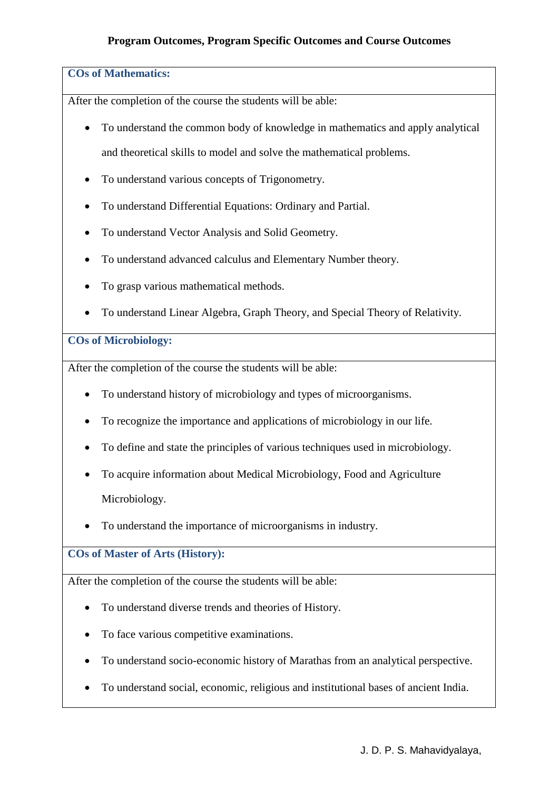#### **COs of Mathematics:**

After the completion of the course the students will be able:

- To understand the common body of knowledge in mathematics and apply analytical and theoretical skills to model and solve the mathematical problems.
- To understand various concepts of Trigonometry.
- To understand Differential Equations: Ordinary and Partial.
- To understand Vector Analysis and Solid Geometry.
- To understand advanced calculus and Elementary Number theory.
- To grasp various mathematical methods.
- To understand Linear Algebra, Graph Theory, and Special Theory of Relativity.

#### **COs of Microbiology:**

After the completion of the course the students will be able:

- To understand history of microbiology and types of microorganisms.
- To recognize the importance and applications of microbiology in our life.
- To define and state the principles of various techniques used in microbiology.
- To acquire information about Medical Microbiology, Food and Agriculture Microbiology.
- To understand the importance of microorganisms in industry.

#### **COs of Master of Arts (History):**

- To understand diverse trends and theories of History.
- To face various competitive examinations.
- To understand socio-economic history of Marathas from an analytical perspective.
- To understand social, economic, religious and institutional bases of ancient India.